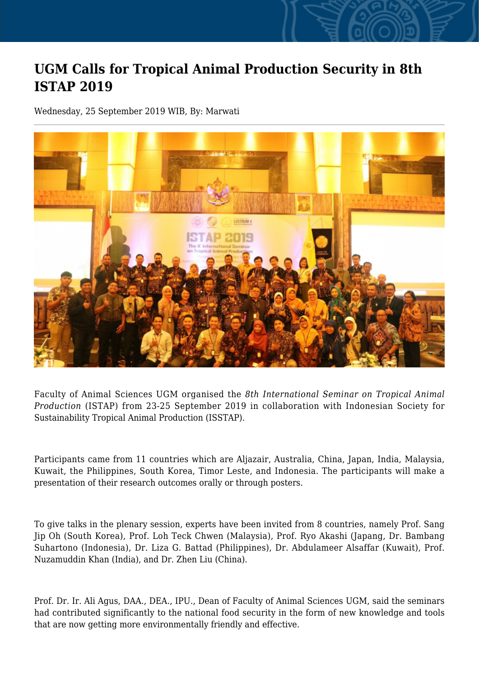## **UGM Calls for Tropical Animal Production Security in 8th ISTAP 2019**

Wednesday, 25 September 2019 WIB, By: Marwati



Faculty of Animal Sciences UGM organised the *8th International Seminar on Tropical Animal Production* (ISTAP) from 23-25 September 2019 in collaboration with Indonesian Society for Sustainability Tropical Animal Production (ISSTAP).

Participants came from 11 countries which are Aljazair, Australia, China, Japan, India, Malaysia, Kuwait, the Philippines, South Korea, Timor Leste, and Indonesia. The participants will make a presentation of their research outcomes orally or through posters.

To give talks in the plenary session, experts have been invited from 8 countries, namely Prof. Sang Jip Oh (South Korea), Prof. Loh Teck Chwen (Malaysia), Prof. Ryo Akashi (Japang, Dr. Bambang Suhartono (Indonesia), Dr. Liza G. Battad (Philippines), Dr. Abdulameer Alsaffar (Kuwait), Prof. Nuzamuddin Khan (India), and Dr. Zhen Liu (China).

Prof. Dr. Ir. Ali Agus, DAA., DEA., IPU., Dean of Faculty of Animal Sciences UGM, said the seminars had contributed significantly to the national food security in the form of new knowledge and tools that are now getting more environmentally friendly and effective.